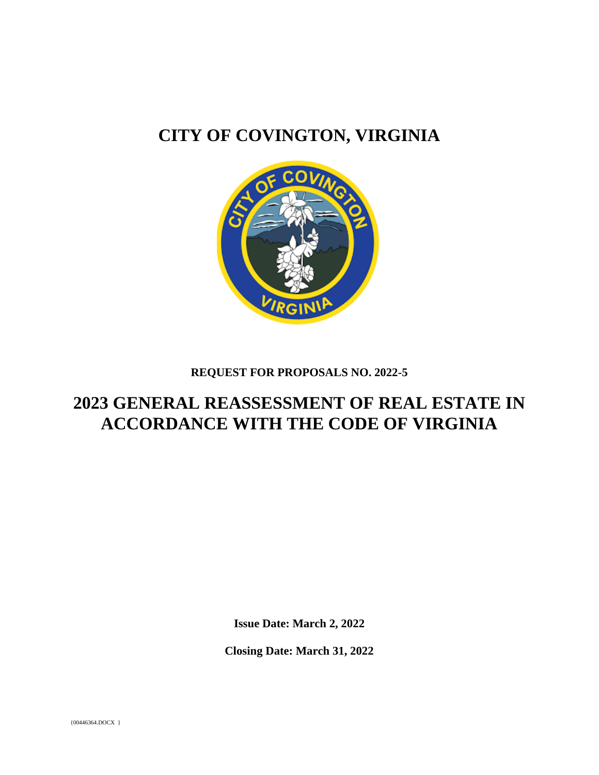# **CITY OF COVINGTON, VIRGINIA**



# **REQUEST FOR PROPOSALS NO. 2022-5**

# **2023 GENERAL REASSESSMENT OF REAL ESTATE IN ACCORDANCE WITH THE CODE OF VIRGINIA**

**Issue Date: March 2, 2022**

**Closing Date: March 31, 2022**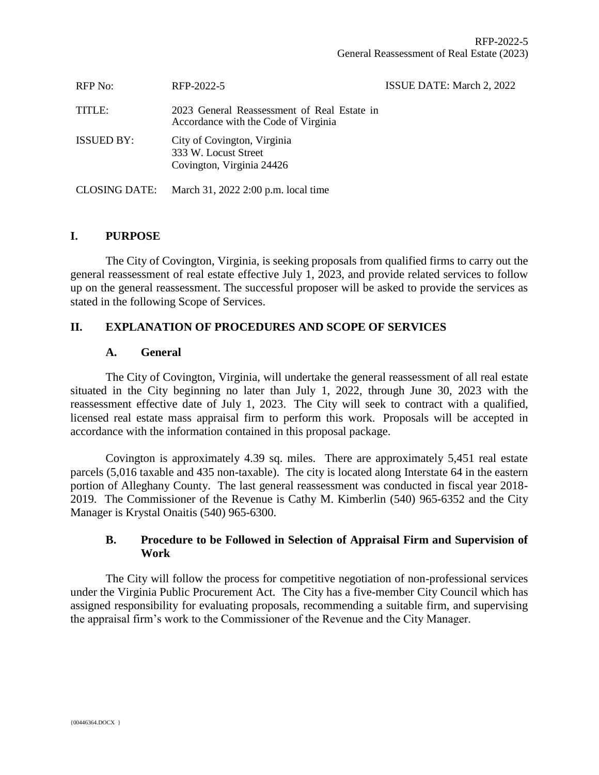| RFP No:              | RFP-2022-5                                                                          | ISSUE DATE: March 2, 2022 |
|----------------------|-------------------------------------------------------------------------------------|---------------------------|
| TITLE:               | 2023 General Reassessment of Real Estate in<br>Accordance with the Code of Virginia |                           |
| <b>ISSUED BY:</b>    | City of Covington, Virginia<br>333 W. Locust Street<br>Covington, Virginia 24426    |                           |
| <b>CLOSING DATE:</b> | March 31, 2022 2:00 p.m. local time                                                 |                           |

# **I. PURPOSE**

The City of Covington, Virginia, is seeking proposals from qualified firms to carry out the general reassessment of real estate effective July 1, 2023, and provide related services to follow up on the general reassessment. The successful proposer will be asked to provide the services as stated in the following Scope of Services.

# **II. EXPLANATION OF PROCEDURES AND SCOPE OF SERVICES**

# **A. General**

The City of Covington, Virginia, will undertake the general reassessment of all real estate situated in the City beginning no later than July 1, 2022, through June 30, 2023 with the reassessment effective date of July 1, 2023. The City will seek to contract with a qualified, licensed real estate mass appraisal firm to perform this work. Proposals will be accepted in accordance with the information contained in this proposal package.

Covington is approximately 4.39 sq. miles. There are approximately 5,451 real estate parcels (5,016 taxable and 435 non-taxable). The city is located along Interstate 64 in the eastern portion of Alleghany County. The last general reassessment was conducted in fiscal year 2018- 2019. The Commissioner of the Revenue is Cathy M. Kimberlin (540) 965-6352 and the City Manager is Krystal Onaitis (540) 965-6300.

# **B. Procedure to be Followed in Selection of Appraisal Firm and Supervision of Work**

The City will follow the process for competitive negotiation of non-professional services under the Virginia Public Procurement Act. The City has a five-member City Council which has assigned responsibility for evaluating proposals, recommending a suitable firm, and supervising the appraisal firm's work to the Commissioner of the Revenue and the City Manager.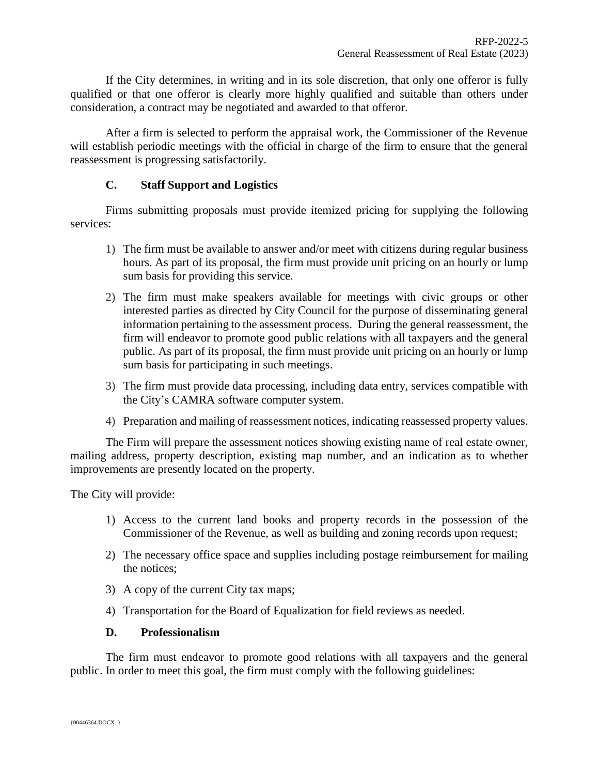If the City determines, in writing and in its sole discretion, that only one offeror is fully qualified or that one offeror is clearly more highly qualified and suitable than others under consideration, a contract may be negotiated and awarded to that offeror.

After a firm is selected to perform the appraisal work, the Commissioner of the Revenue will establish periodic meetings with the official in charge of the firm to ensure that the general reassessment is progressing satisfactorily.

# **C. Staff Support and Logistics**

Firms submitting proposals must provide itemized pricing for supplying the following services:

- 1) The firm must be available to answer and/or meet with citizens during regular business hours. As part of its proposal, the firm must provide unit pricing on an hourly or lump sum basis for providing this service.
- 2) The firm must make speakers available for meetings with civic groups or other interested parties as directed by City Council for the purpose of disseminating general information pertaining to the assessment process. During the general reassessment, the firm will endeavor to promote good public relations with all taxpayers and the general public. As part of its proposal, the firm must provide unit pricing on an hourly or lump sum basis for participating in such meetings.
- 3) The firm must provide data processing, including data entry, services compatible with the City's CAMRA software computer system.
- 4) Preparation and mailing of reassessment notices, indicating reassessed property values.

The Firm will prepare the assessment notices showing existing name of real estate owner, mailing address, property description, existing map number, and an indication as to whether improvements are presently located on the property.

The City will provide:

- 1) Access to the current land books and property records in the possession of the Commissioner of the Revenue, as well as building and zoning records upon request;
- 2) The necessary office space and supplies including postage reimbursement for mailing the notices;
- 3) A copy of the current City tax maps;
- 4) Transportation for the Board of Equalization for field reviews as needed.

# **D. Professionalism**

The firm must endeavor to promote good relations with all taxpayers and the general public. In order to meet this goal, the firm must comply with the following guidelines: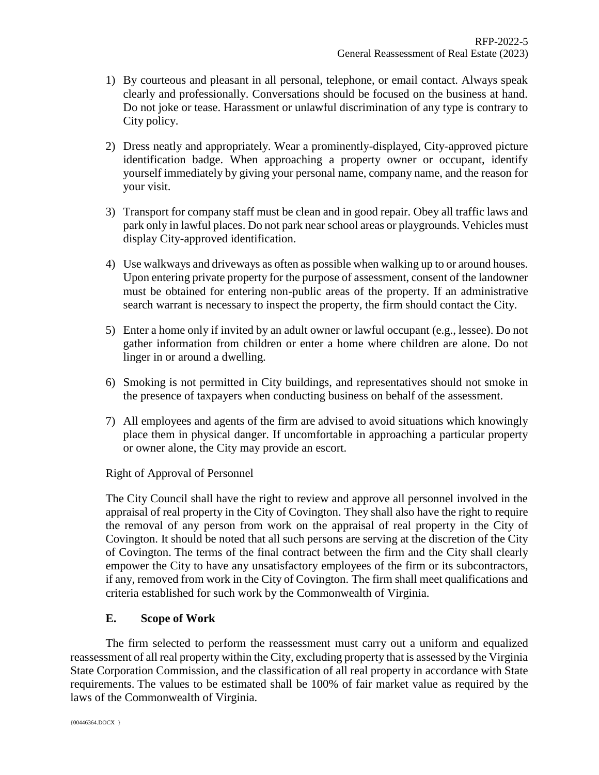- 1) By courteous and pleasant in all personal, telephone, or email contact. Always speak clearly and professionally. Conversations should be focused on the business at hand. Do not joke or tease. Harassment or unlawful discrimination of any type is contrary to City policy.
- 2) Dress neatly and appropriately. Wear a prominently-displayed, City-approved picture identification badge. When approaching a property owner or occupant, identify yourself immediately by giving your personal name, company name, and the reason for your visit.
- 3) Transport for company staff must be clean and in good repair. Obey all traffic laws and park only in lawful places. Do not park near school areas or playgrounds. Vehicles must display City-approved identification.
- 4) Use walkways and driveways as often as possible when walking up to or around houses. Upon entering private property for the purpose of assessment, consent of the landowner must be obtained for entering non-public areas of the property. If an administrative search warrant is necessary to inspect the property, the firm should contact the City.
- 5) Enter a home only if invited by an adult owner or lawful occupant (e.g., lessee). Do not gather information from children or enter a home where children are alone. Do not linger in or around a dwelling.
- 6) Smoking is not permitted in City buildings, and representatives should not smoke in the presence of taxpayers when conducting business on behalf of the assessment.
- 7) All employees and agents of the firm are advised to avoid situations which knowingly place them in physical danger. If uncomfortable in approaching a particular property or owner alone, the City may provide an escort.

# Right of Approval of Personnel

The City Council shall have the right to review and approve all personnel involved in the appraisal of real property in the City of Covington. They shall also have the right to require the removal of any person from work on the appraisal of real property in the City of Covington. It should be noted that all such persons are serving at the discretion of the City of Covington. The terms of the final contract between the firm and the City shall clearly empower the City to have any unsatisfactory employees of the firm or its subcontractors, if any, removed from work in the City of Covington. The firm shall meet qualifications and criteria established for such work by the Commonwealth of Virginia.

# **E. Scope of Work**

The firm selected to perform the reassessment must carry out a uniform and equalized reassessment of all real property within the City, excluding property that is assessed by the Virginia State Corporation Commission, and the classification of all real property in accordance with State requirements. The values to be estimated shall be 100% of fair market value as required by the laws of the Commonwealth of Virginia.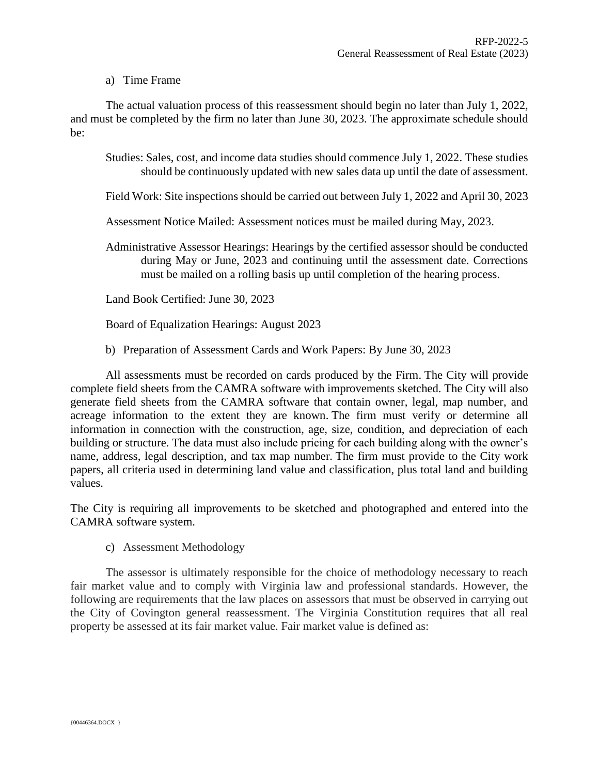## a) Time Frame

The actual valuation process of this reassessment should begin no later than July 1, 2022, and must be completed by the firm no later than June 30, 2023. The approximate schedule should be:

Studies: Sales, cost, and income data studies should commence July 1, 2022. These studies should be continuously updated with new sales data up until the date of assessment.

- Field Work: Site inspections should be carried out between July 1, 2022 and April 30, 2023
- Assessment Notice Mailed: Assessment notices must be mailed during May, 2023.
- Administrative Assessor Hearings: Hearings by the certified assessor should be conducted during May or June, 2023 and continuing until the assessment date. Corrections must be mailed on a rolling basis up until completion of the hearing process.

Land Book Certified: June 30, 2023

Board of Equalization Hearings: August 2023

b) Preparation of Assessment Cards and Work Papers: By June 30, 2023

All assessments must be recorded on cards produced by the Firm. The City will provide complete field sheets from the CAMRA software with improvements sketched. The City will also generate field sheets from the CAMRA software that contain owner, legal, map number, and acreage information to the extent they are known. The firm must verify or determine all information in connection with the construction, age, size, condition, and depreciation of each building or structure. The data must also include pricing for each building along with the owner's name, address, legal description, and tax map number. The firm must provide to the City work papers, all criteria used in determining land value and classification, plus total land and building values.

The City is requiring all improvements to be sketched and photographed and entered into the CAMRA software system.

c) Assessment Methodology

The assessor is ultimately responsible for the choice of methodology necessary to reach fair market value and to comply with Virginia law and professional standards. However, the following are requirements that the law places on assessors that must be observed in carrying out the City of Covington general reassessment. The Virginia Constitution requires that all real property be assessed at its fair market value. Fair market value is defined as: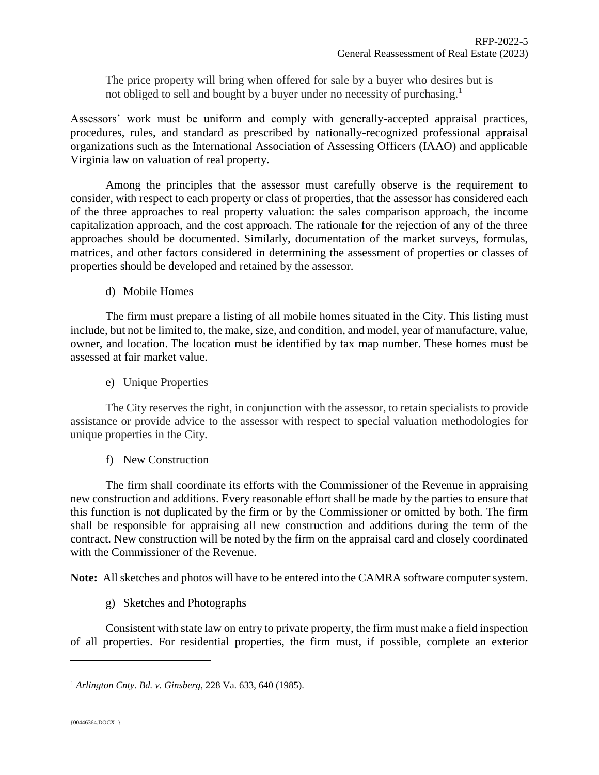The price property will bring when offered for sale by a buyer who desires but is not obliged to sell and bought by a buyer under no necessity of purchasing.<sup>1</sup>

Assessors' work must be uniform and comply with generally-accepted appraisal practices, procedures, rules, and standard as prescribed by nationally-recognized professional appraisal organizations such as the International Association of Assessing Officers (IAAO) and applicable Virginia law on valuation of real property.

Among the principles that the assessor must carefully observe is the requirement to consider, with respect to each property or class of properties, that the assessor has considered each of the three approaches to real property valuation: the sales comparison approach, the income capitalization approach, and the cost approach. The rationale for the rejection of any of the three approaches should be documented. Similarly, documentation of the market surveys, formulas, matrices, and other factors considered in determining the assessment of properties or classes of properties should be developed and retained by the assessor.

d) Mobile Homes

The firm must prepare a listing of all mobile homes situated in the City. This listing must include, but not be limited to, the make, size, and condition, and model, year of manufacture, value, owner, and location. The location must be identified by tax map number. These homes must be assessed at fair market value.

e) Unique Properties

The City reserves the right, in conjunction with the assessor, to retain specialists to provide assistance or provide advice to the assessor with respect to special valuation methodologies for unique properties in the City.

f) New Construction

The firm shall coordinate its efforts with the Commissioner of the Revenue in appraising new construction and additions. Every reasonable effort shall be made by the parties to ensure that this function is not duplicated by the firm or by the Commissioner or omitted by both. The firm shall be responsible for appraising all new construction and additions during the term of the contract. New construction will be noted by the firm on the appraisal card and closely coordinated with the Commissioner of the Revenue.

**Note:** All sketches and photos will have to be entered into the CAMRA software computer system.

g) Sketches and Photographs

Consistent with state law on entry to private property, the firm must make a field inspection of all properties. For residential properties, the firm must, if possible, complete an exterior

l

<sup>1</sup> *Arlington Cnty. Bd. v. Ginsberg*, 228 Va. 633, 640 (1985).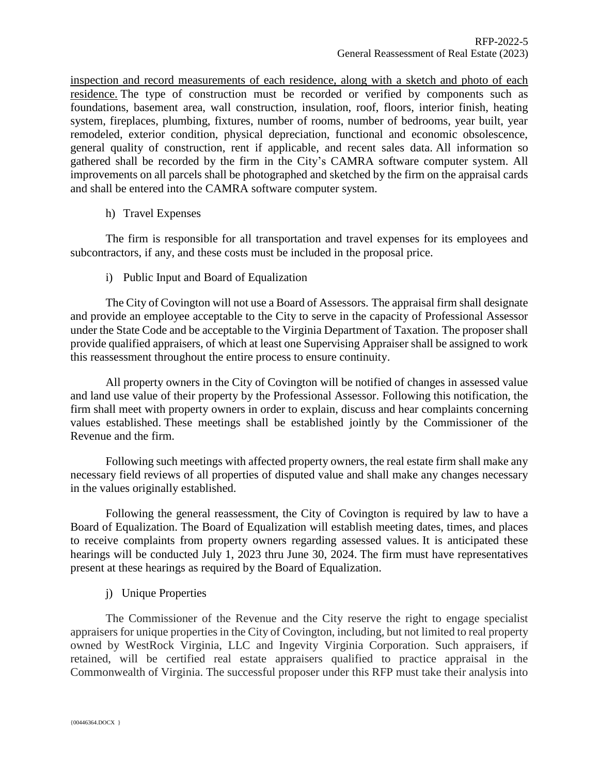inspection and record measurements of each residence, along with a sketch and photo of each residence. The type of construction must be recorded or verified by components such as foundations, basement area, wall construction, insulation, roof, floors, interior finish, heating system, fireplaces, plumbing, fixtures, number of rooms, number of bedrooms, year built, year remodeled, exterior condition, physical depreciation, functional and economic obsolescence, general quality of construction, rent if applicable, and recent sales data. All information so gathered shall be recorded by the firm in the City's CAMRA software computer system. All improvements on all parcels shall be photographed and sketched by the firm on the appraisal cards and shall be entered into the CAMRA software computer system.

# h) Travel Expenses

The firm is responsible for all transportation and travel expenses for its employees and subcontractors, if any, and these costs must be included in the proposal price.

# i) Public Input and Board of Equalization

The City of Covington will not use a Board of Assessors. The appraisal firm shall designate and provide an employee acceptable to the City to serve in the capacity of Professional Assessor under the State Code and be acceptable to the Virginia Department of Taxation. The proposer shall provide qualified appraisers, of which at least one Supervising Appraiser shall be assigned to work this reassessment throughout the entire process to ensure continuity.

All property owners in the City of Covington will be notified of changes in assessed value and land use value of their property by the Professional Assessor. Following this notification, the firm shall meet with property owners in order to explain, discuss and hear complaints concerning values established. These meetings shall be established jointly by the Commissioner of the Revenue and the firm.

Following such meetings with affected property owners, the real estate firm shall make any necessary field reviews of all properties of disputed value and shall make any changes necessary in the values originally established.

Following the general reassessment, the City of Covington is required by law to have a Board of Equalization. The Board of Equalization will establish meeting dates, times, and places to receive complaints from property owners regarding assessed values. It is anticipated these hearings will be conducted July 1, 2023 thru June 30, 2024. The firm must have representatives present at these hearings as required by the Board of Equalization.

# j) Unique Properties

The Commissioner of the Revenue and the City reserve the right to engage specialist appraisers for unique properties in the City of Covington, including, but not limited to real property owned by WestRock Virginia, LLC and Ingevity Virginia Corporation. Such appraisers, if retained, will be certified real estate appraisers qualified to practice appraisal in the Commonwealth of Virginia. The successful proposer under this RFP must take their analysis into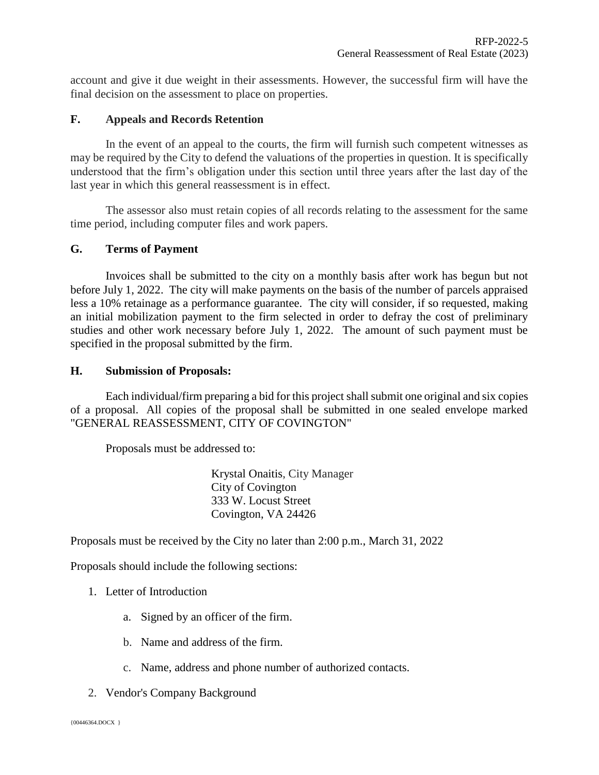account and give it due weight in their assessments. However, the successful firm will have the final decision on the assessment to place on properties.

## **F. Appeals and Records Retention**

In the event of an appeal to the courts, the firm will furnish such competent witnesses as may be required by the City to defend the valuations of the properties in question. It is specifically understood that the firm's obligation under this section until three years after the last day of the last year in which this general reassessment is in effect.

The assessor also must retain copies of all records relating to the assessment for the same time period, including computer files and work papers.

## **G. Terms of Payment**

Invoices shall be submitted to the city on a monthly basis after work has begun but not before July 1, 2022. The city will make payments on the basis of the number of parcels appraised less a 10% retainage as a performance guarantee. The city will consider, if so requested, making an initial mobilization payment to the firm selected in order to defray the cost of preliminary studies and other work necessary before July 1, 2022. The amount of such payment must be specified in the proposal submitted by the firm.

#### **H. Submission of Proposals:**

Each individual/firm preparing a bid for this project shall submit one original and six copies of a proposal. All copies of the proposal shall be submitted in one sealed envelope marked "GENERAL REASSESSMENT, CITY OF COVINGTON"

Proposals must be addressed to:

Krystal Onaitis, City Manager City of Covington 333 W. Locust Street Covington, VA 24426

Proposals must be received by the City no later than 2:00 p.m., March 31, 2022

Proposals should include the following sections:

# 1. Letter of Introduction

- a. Signed by an officer of the firm.
- b. Name and address of the firm.
- c. Name, address and phone number of authorized contacts.
- 2. Vendor's Company Background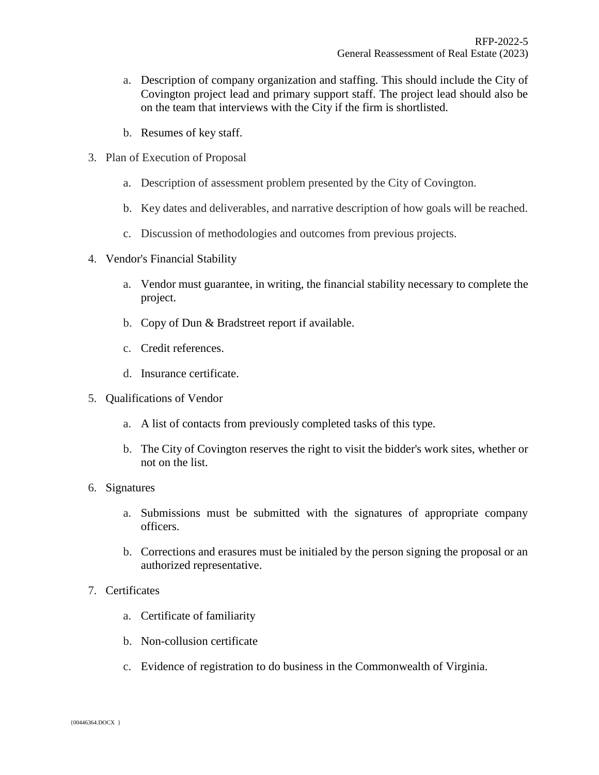- a. Description of company organization and staffing. This should include the City of Covington project lead and primary support staff. The project lead should also be on the team that interviews with the City if the firm is shortlisted.
- b. Resumes of key staff.
- 3. Plan of Execution of Proposal
	- a. Description of assessment problem presented by the City of Covington.
	- b. Key dates and deliverables, and narrative description of how goals will be reached.
	- c. Discussion of methodologies and outcomes from previous projects.
- 4. Vendor's Financial Stability
	- a. Vendor must guarantee, in writing, the financial stability necessary to complete the project.
	- b. Copy of Dun & Bradstreet report if available.
	- c. Credit references.
	- d. Insurance certificate.
- 5. Qualifications of Vendor
	- a. A list of contacts from previously completed tasks of this type.
	- b. The City of Covington reserves the right to visit the bidder's work sites, whether or not on the list.
- 6. Signatures
	- a. Submissions must be submitted with the signatures of appropriate company officers.
	- b. Corrections and erasures must be initialed by the person signing the proposal or an authorized representative.
- 7. Certificates
	- a. Certificate of familiarity
	- b. Non-collusion certificate
	- c. Evidence of registration to do business in the Commonwealth of Virginia.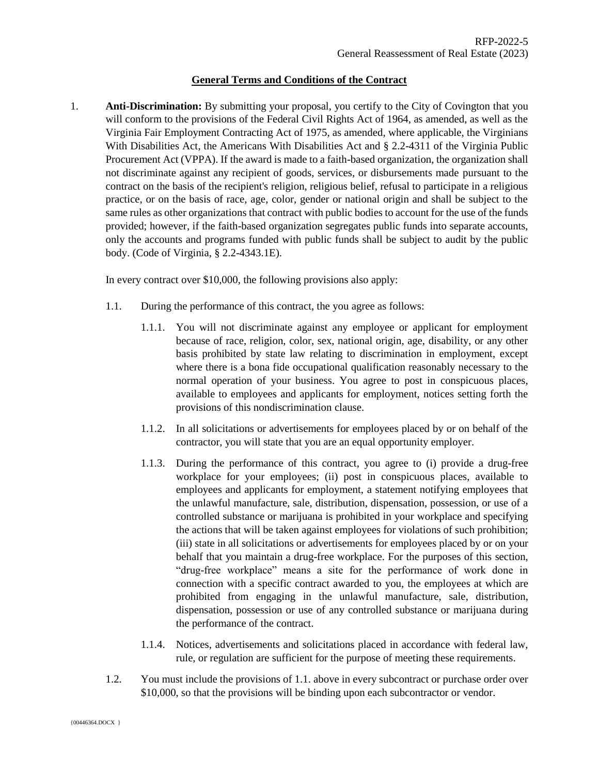### **General Terms and Conditions of the Contract**

1. **Anti-Discrimination:** By submitting your proposal, you certify to the City of Covington that you will conform to the provisions of the Federal Civil Rights Act of 1964, as amended, as well as the Virginia Fair Employment Contracting Act of 1975, as amended, where applicable, the Virginians With Disabilities Act, the Americans With Disabilities Act and § 2.2-4311 of the Virginia Public Procurement Act (VPPA). If the award is made to a faith-based organization, the organization shall not discriminate against any recipient of goods, services, or disbursements made pursuant to the contract on the basis of the recipient's religion, religious belief, refusal to participate in a religious practice, or on the basis of race, age, color, gender or national origin and shall be subject to the same rules as other organizations that contract with public bodies to account for the use of the funds provided; however, if the faith-based organization segregates public funds into separate accounts, only the accounts and programs funded with public funds shall be subject to audit by the public body. (Code of Virginia, § 2.2-4343.1E).

In every contract over \$10,000, the following provisions also apply:

- 1.1. During the performance of this contract, the you agree as follows:
	- 1.1.1. You will not discriminate against any employee or applicant for employment because of race, religion, color, sex, national origin, age, disability, or any other basis prohibited by state law relating to discrimination in employment, except where there is a bona fide occupational qualification reasonably necessary to the normal operation of your business. You agree to post in conspicuous places, available to employees and applicants for employment, notices setting forth the provisions of this nondiscrimination clause.
	- 1.1.2. In all solicitations or advertisements for employees placed by or on behalf of the contractor, you will state that you are an equal opportunity employer.
	- 1.1.3. During the performance of this contract, you agree to (i) provide a drug-free workplace for your employees; (ii) post in conspicuous places, available to employees and applicants for employment, a statement notifying employees that the unlawful manufacture, sale, distribution, dispensation, possession, or use of a controlled substance or marijuana is prohibited in your workplace and specifying the actions that will be taken against employees for violations of such prohibition; (iii) state in all solicitations or advertisements for employees placed by or on your behalf that you maintain a drug-free workplace. For the purposes of this section, "drug-free workplace" means a site for the performance of work done in connection with a specific contract awarded to you, the employees at which are prohibited from engaging in the unlawful manufacture, sale, distribution, dispensation, possession or use of any controlled substance or marijuana during the performance of the contract.
	- 1.1.4. Notices, advertisements and solicitations placed in accordance with federal law, rule, or regulation are sufficient for the purpose of meeting these requirements.
- 1.2. You must include the provisions of 1.1. above in every subcontract or purchase order over \$10,000, so that the provisions will be binding upon each subcontractor or vendor.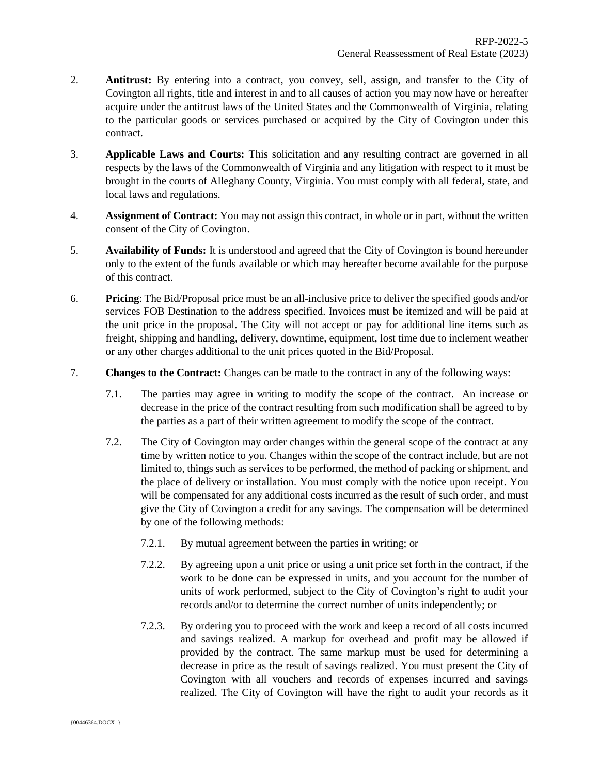- 2. **Antitrust:** By entering into a contract, you convey, sell, assign, and transfer to the City of Covington all rights, title and interest in and to all causes of action you may now have or hereafter acquire under the antitrust laws of the United States and the Commonwealth of Virginia, relating to the particular goods or services purchased or acquired by the City of Covington under this contract.
- 3. **Applicable Laws and Courts:** This solicitation and any resulting contract are governed in all respects by the laws of the Commonwealth of Virginia and any litigation with respect to it must be brought in the courts of Alleghany County, Virginia. You must comply with all federal, state, and local laws and regulations.
- 4. **Assignment of Contract:** You may not assign this contract, in whole or in part, without the written consent of the City of Covington.
- 5. **Availability of Funds:** It is understood and agreed that the City of Covington is bound hereunder only to the extent of the funds available or which may hereafter become available for the purpose of this contract.
- 6. **Pricing**: The Bid/Proposal price must be an all-inclusive price to deliver the specified goods and/or services FOB Destination to the address specified. Invoices must be itemized and will be paid at the unit price in the proposal. The City will not accept or pay for additional line items such as freight, shipping and handling, delivery, downtime, equipment, lost time due to inclement weather or any other charges additional to the unit prices quoted in the Bid/Proposal.
- 7. **Changes to the Contract:** Changes can be made to the contract in any of the following ways:
	- 7.1. The parties may agree in writing to modify the scope of the contract. An increase or decrease in the price of the contract resulting from such modification shall be agreed to by the parties as a part of their written agreement to modify the scope of the contract.
	- 7.2. The City of Covington may order changes within the general scope of the contract at any time by written notice to you. Changes within the scope of the contract include, but are not limited to, things such as services to be performed, the method of packing or shipment, and the place of delivery or installation. You must comply with the notice upon receipt. You will be compensated for any additional costs incurred as the result of such order, and must give the City of Covington a credit for any savings. The compensation will be determined by one of the following methods:
		- 7.2.1. By mutual agreement between the parties in writing; or
		- 7.2.2. By agreeing upon a unit price or using a unit price set forth in the contract, if the work to be done can be expressed in units, and you account for the number of units of work performed, subject to the City of Covington's right to audit your records and/or to determine the correct number of units independently; or
		- 7.2.3. By ordering you to proceed with the work and keep a record of all costs incurred and savings realized. A markup for overhead and profit may be allowed if provided by the contract. The same markup must be used for determining a decrease in price as the result of savings realized. You must present the City of Covington with all vouchers and records of expenses incurred and savings realized. The City of Covington will have the right to audit your records as it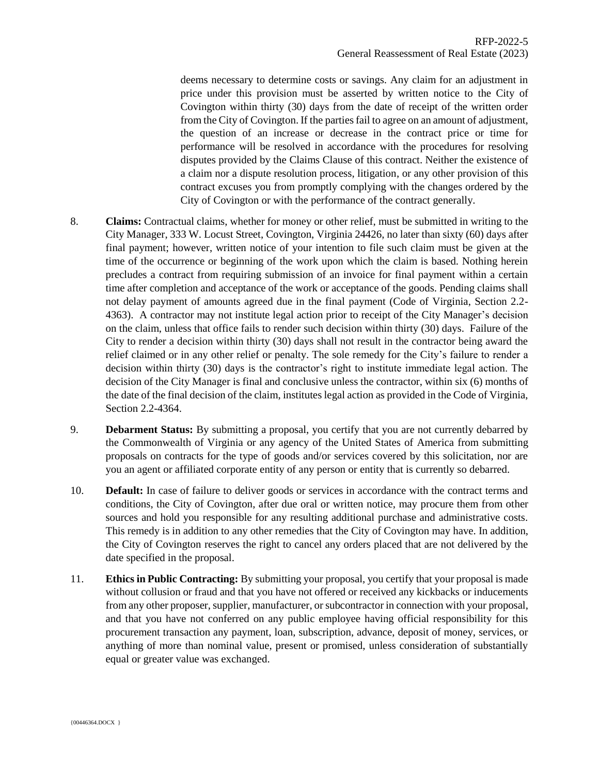deems necessary to determine costs or savings. Any claim for an adjustment in price under this provision must be asserted by written notice to the City of Covington within thirty (30) days from the date of receipt of the written order from the City of Covington. If the parties fail to agree on an amount of adjustment, the question of an increase or decrease in the contract price or time for performance will be resolved in accordance with the procedures for resolving disputes provided by the Claims Clause of this contract. Neither the existence of a claim nor a dispute resolution process, litigation, or any other provision of this contract excuses you from promptly complying with the changes ordered by the City of Covington or with the performance of the contract generally.

- 8. **Claims:** Contractual claims, whether for money or other relief, must be submitted in writing to the City Manager, 333 W. Locust Street, Covington, Virginia 24426, no later than sixty (60) days after final payment; however, written notice of your intention to file such claim must be given at the time of the occurrence or beginning of the work upon which the claim is based. Nothing herein precludes a contract from requiring submission of an invoice for final payment within a certain time after completion and acceptance of the work or acceptance of the goods. Pending claims shall not delay payment of amounts agreed due in the final payment (Code of Virginia, Section 2.2- 4363). A contractor may not institute legal action prior to receipt of the City Manager's decision on the claim, unless that office fails to render such decision within thirty (30) days. Failure of the City to render a decision within thirty (30) days shall not result in the contractor being award the relief claimed or in any other relief or penalty. The sole remedy for the City's failure to render a decision within thirty (30) days is the contractor's right to institute immediate legal action. The decision of the City Manager is final and conclusive unless the contractor, within six (6) months of the date of the final decision of the claim, institutes legal action as provided in the Code of Virginia, Section 2.2-4364.
- 9. **Debarment Status:** By submitting a proposal, you certify that you are not currently debarred by the Commonwealth of Virginia or any agency of the United States of America from submitting proposals on contracts for the type of goods and/or services covered by this solicitation, nor are you an agent or affiliated corporate entity of any person or entity that is currently so debarred.
- 10. **Default:** In case of failure to deliver goods or services in accordance with the contract terms and conditions, the City of Covington, after due oral or written notice, may procure them from other sources and hold you responsible for any resulting additional purchase and administrative costs. This remedy is in addition to any other remedies that the City of Covington may have. In addition, the City of Covington reserves the right to cancel any orders placed that are not delivered by the date specified in the proposal.
- 11. **Ethics in Public Contracting:** By submitting your proposal, you certify that your proposal is made without collusion or fraud and that you have not offered or received any kickbacks or inducements from any other proposer, supplier, manufacturer, or subcontractor in connection with your proposal, and that you have not conferred on any public employee having official responsibility for this procurement transaction any payment, loan, subscription, advance, deposit of money, services, or anything of more than nominal value, present or promised, unless consideration of substantially equal or greater value was exchanged.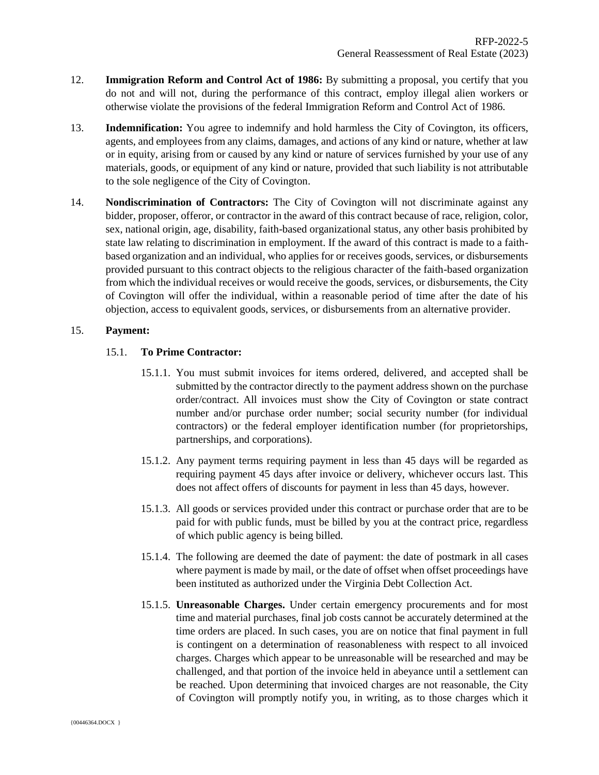- 12. **Immigration Reform and Control Act of 1986:** By submitting a proposal, you certify that you do not and will not, during the performance of this contract, employ illegal alien workers or otherwise violate the provisions of the federal Immigration Reform and Control Act of 1986.
- 13. **Indemnification:** You agree to indemnify and hold harmless the City of Covington, its officers, agents, and employees from any claims, damages, and actions of any kind or nature, whether at law or in equity, arising from or caused by any kind or nature of services furnished by your use of any materials, goods, or equipment of any kind or nature, provided that such liability is not attributable to the sole negligence of the City of Covington.
- 14. **Nondiscrimination of Contractors:** The City of Covington will not discriminate against any bidder, proposer, offeror, or contractor in the award of this contract because of race, religion, color, sex, national origin, age, disability, faith-based organizational status, any other basis prohibited by state law relating to discrimination in employment. If the award of this contract is made to a faithbased organization and an individual, who applies for or receives goods, services, or disbursements provided pursuant to this contract objects to the religious character of the faith-based organization from which the individual receives or would receive the goods, services, or disbursements, the City of Covington will offer the individual, within a reasonable period of time after the date of his objection, access to equivalent goods, services, or disbursements from an alternative provider.

### 15. **Payment:**

#### 15.1. **To Prime Contractor:**

- 15.1.1. You must submit invoices for items ordered, delivered, and accepted shall be submitted by the contractor directly to the payment address shown on the purchase order/contract. All invoices must show the City of Covington or state contract number and/or purchase order number; social security number (for individual contractors) or the federal employer identification number (for proprietorships, partnerships, and corporations).
- 15.1.2. Any payment terms requiring payment in less than 45 days will be regarded as requiring payment 45 days after invoice or delivery, whichever occurs last. This does not affect offers of discounts for payment in less than 45 days, however.
- 15.1.3. All goods or services provided under this contract or purchase order that are to be paid for with public funds, must be billed by you at the contract price, regardless of which public agency is being billed.
- 15.1.4. The following are deemed the date of payment: the date of postmark in all cases where payment is made by mail, or the date of offset when offset proceedings have been instituted as authorized under the Virginia Debt Collection Act.
- 15.1.5. **Unreasonable Charges.** Under certain emergency procurements and for most time and material purchases, final job costs cannot be accurately determined at the time orders are placed. In such cases, you are on notice that final payment in full is contingent on a determination of reasonableness with respect to all invoiced charges. Charges which appear to be unreasonable will be researched and may be challenged, and that portion of the invoice held in abeyance until a settlement can be reached. Upon determining that invoiced charges are not reasonable, the City of Covington will promptly notify you, in writing, as to those charges which it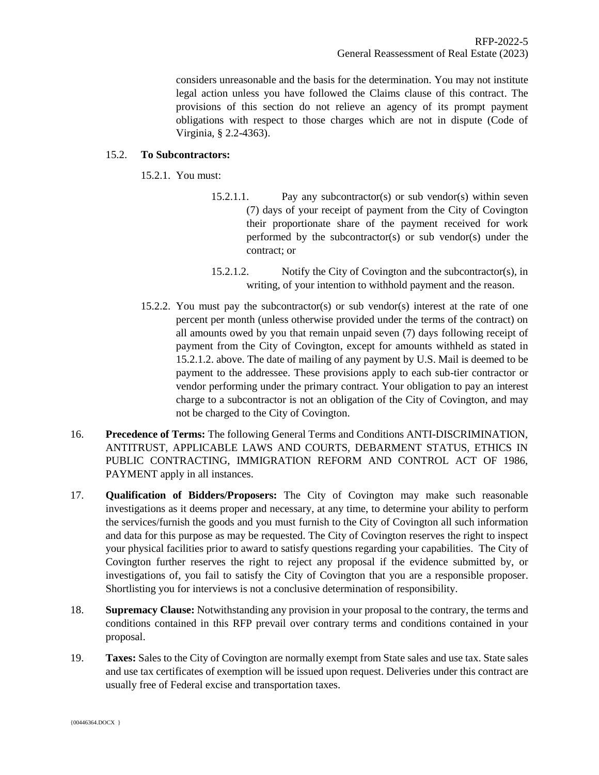considers unreasonable and the basis for the determination. You may not institute legal action unless you have followed the Claims clause of this contract. The provisions of this section do not relieve an agency of its prompt payment obligations with respect to those charges which are not in dispute (Code of Virginia, § 2.2-4363).

### 15.2. **To Subcontractors:**

- 15.2.1. You must:
	- 15.2.1.1. Pay any subcontractor(s) or sub vendor(s) within seven (7) days of your receipt of payment from the City of Covington their proportionate share of the payment received for work performed by the subcontractor(s) or sub vendor(s) under the contract; or
	- 15.2.1.2. Notify the City of Covington and the subcontractor(s), in writing, of your intention to withhold payment and the reason.
- 15.2.2. You must pay the subcontractor(s) or sub vendor(s) interest at the rate of one percent per month (unless otherwise provided under the terms of the contract) on all amounts owed by you that remain unpaid seven (7) days following receipt of payment from the City of Covington, except for amounts withheld as stated in 15.2.1.2. above. The date of mailing of any payment by U.S. Mail is deemed to be payment to the addressee. These provisions apply to each sub-tier contractor or vendor performing under the primary contract. Your obligation to pay an interest charge to a subcontractor is not an obligation of the City of Covington, and may not be charged to the City of Covington.
- 16. **Precedence of Terms:** The following General Terms and Conditions ANTI-DISCRIMINATION, ANTITRUST, APPLICABLE LAWS AND COURTS, DEBARMENT STATUS, ETHICS IN PUBLIC CONTRACTING, IMMIGRATION REFORM AND CONTROL ACT OF 1986, PAYMENT apply in all instances.
- 17. **Qualification of Bidders/Proposers:** The City of Covington may make such reasonable investigations as it deems proper and necessary, at any time, to determine your ability to perform the services/furnish the goods and you must furnish to the City of Covington all such information and data for this purpose as may be requested. The City of Covington reserves the right to inspect your physical facilities prior to award to satisfy questions regarding your capabilities. The City of Covington further reserves the right to reject any proposal if the evidence submitted by, or investigations of, you fail to satisfy the City of Covington that you are a responsible proposer. Shortlisting you for interviews is not a conclusive determination of responsibility.
- 18. **Supremacy Clause:** Notwithstanding any provision in your proposal to the contrary, the terms and conditions contained in this RFP prevail over contrary terms and conditions contained in your proposal.
- 19. **Taxes:** Sales to the City of Covington are normally exempt from State sales and use tax. State sales and use tax certificates of exemption will be issued upon request. Deliveries under this contract are usually free of Federal excise and transportation taxes.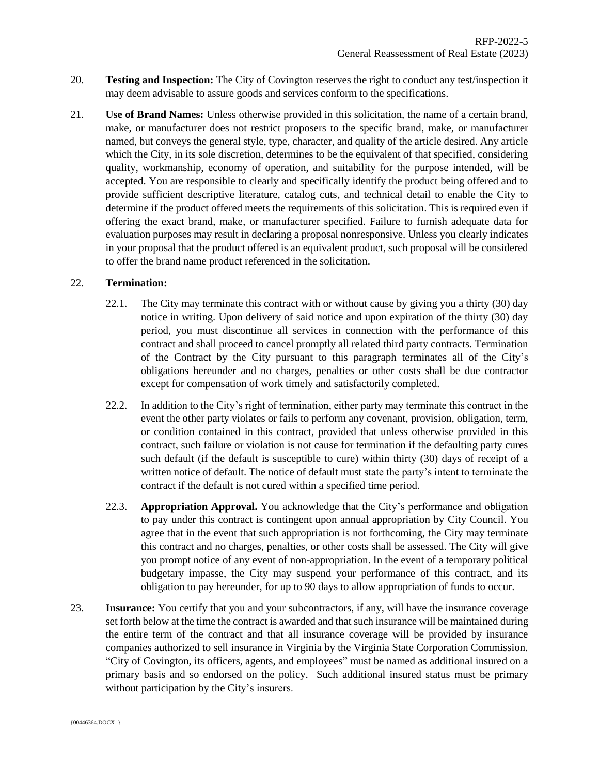- 20. **Testing and Inspection:** The City of Covington reserves the right to conduct any test/inspection it may deem advisable to assure goods and services conform to the specifications.
- 21. **Use of Brand Names:** Unless otherwise provided in this solicitation, the name of a certain brand, make, or manufacturer does not restrict proposers to the specific brand, make, or manufacturer named, but conveys the general style, type, character, and quality of the article desired. Any article which the City, in its sole discretion, determines to be the equivalent of that specified, considering quality, workmanship, economy of operation, and suitability for the purpose intended, will be accepted. You are responsible to clearly and specifically identify the product being offered and to provide sufficient descriptive literature, catalog cuts, and technical detail to enable the City to determine if the product offered meets the requirements of this solicitation. This is required even if offering the exact brand, make, or manufacturer specified. Failure to furnish adequate data for evaluation purposes may result in declaring a proposal nonresponsive. Unless you clearly indicates in your proposal that the product offered is an equivalent product, such proposal will be considered to offer the brand name product referenced in the solicitation.

#### 22. **Termination:**

- 22.1. The City may terminate this contract with or without cause by giving you a thirty (30) day notice in writing. Upon delivery of said notice and upon expiration of the thirty (30) day period, you must discontinue all services in connection with the performance of this contract and shall proceed to cancel promptly all related third party contracts. Termination of the Contract by the City pursuant to this paragraph terminates all of the City's obligations hereunder and no charges, penalties or other costs shall be due contractor except for compensation of work timely and satisfactorily completed.
- 22.2. In addition to the City's right of termination, either party may terminate this contract in the event the other party violates or fails to perform any covenant, provision, obligation, term, or condition contained in this contract, provided that unless otherwise provided in this contract, such failure or violation is not cause for termination if the defaulting party cures such default (if the default is susceptible to cure) within thirty (30) days of receipt of a written notice of default. The notice of default must state the party's intent to terminate the contract if the default is not cured within a specified time period.
- 22.3. **Appropriation Approval.** You acknowledge that the City's performance and obligation to pay under this contract is contingent upon annual appropriation by City Council. You agree that in the event that such appropriation is not forthcoming, the City may terminate this contract and no charges, penalties, or other costs shall be assessed. The City will give you prompt notice of any event of non-appropriation. In the event of a temporary political budgetary impasse, the City may suspend your performance of this contract, and its obligation to pay hereunder, for up to 90 days to allow appropriation of funds to occur.
- 23. **Insurance:** You certify that you and your subcontractors, if any, will have the insurance coverage set forth below at the time the contract is awarded and that such insurance will be maintained during the entire term of the contract and that all insurance coverage will be provided by insurance companies authorized to sell insurance in Virginia by the Virginia State Corporation Commission. "City of Covington, its officers, agents, and employees" must be named as additional insured on a primary basis and so endorsed on the policy. Such additional insured status must be primary without participation by the City's insurers.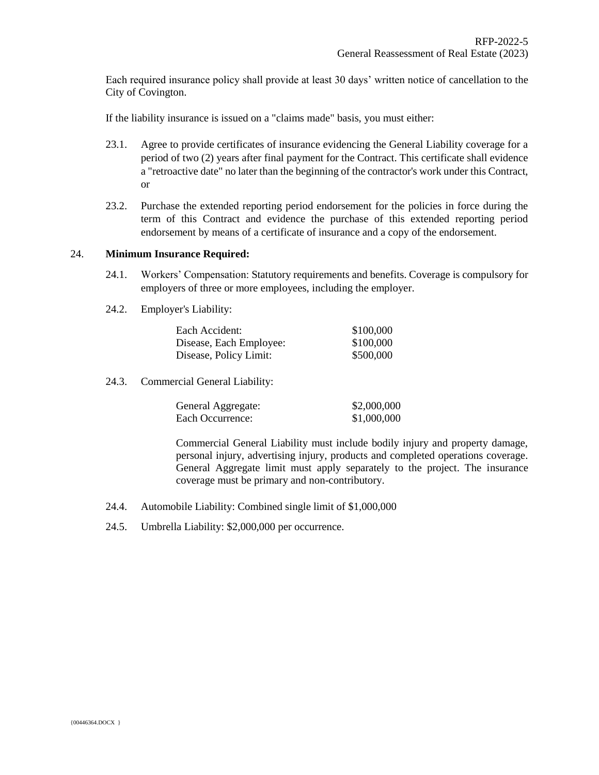Each required insurance policy shall provide at least 30 days' written notice of cancellation to the City of Covington.

If the liability insurance is issued on a "claims made" basis, you must either:

- 23.1. Agree to provide certificates of insurance evidencing the General Liability coverage for a period of two (2) years after final payment for the Contract. This certificate shall evidence a "retroactive date" no later than the beginning of the contractor's work under this Contract, or
- 23.2. Purchase the extended reporting period endorsement for the policies in force during the term of this Contract and evidence the purchase of this extended reporting period endorsement by means of a certificate of insurance and a copy of the endorsement.

#### 24. **Minimum Insurance Required:**

- 24.1. Workers' Compensation: Statutory requirements and benefits. Coverage is compulsory for employers of three or more employees, including the employer.
- 24.2. Employer's Liability:

| Each Accident:          | \$100,000 |
|-------------------------|-----------|
| Disease, Each Employee: | \$100,000 |
| Disease, Policy Limit:  | \$500,000 |

24.3. Commercial General Liability:

| General Aggregate: | \$2,000,000 |
|--------------------|-------------|
| Each Occurrence:   | \$1,000,000 |

Commercial General Liability must include bodily injury and property damage, personal injury, advertising injury, products and completed operations coverage. General Aggregate limit must apply separately to the project. The insurance coverage must be primary and non-contributory.

- 24.4. Automobile Liability: Combined single limit of \$1,000,000
- 24.5. Umbrella Liability: \$2,000,000 per occurrence.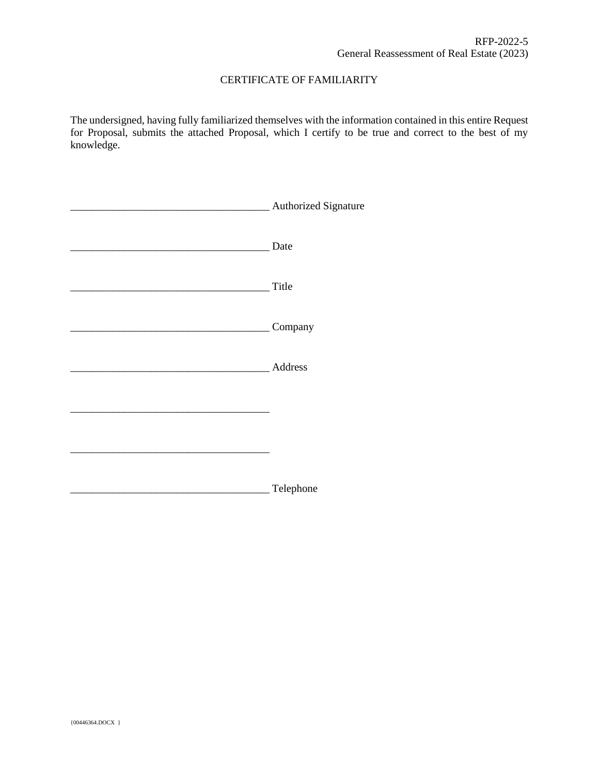## CERTIFICATE OF FAMILIARITY

The undersigned, having fully familiarized themselves with the information contained in this entire Request for Proposal, submits the attached Proposal, which I certify to be true and correct to the best of my knowledge.

| <b>Authorized Signature</b> |
|-----------------------------|
| Date                        |
| Title                       |
| Company                     |
| Address                     |
|                             |
|                             |
| Telephone                   |
|                             |